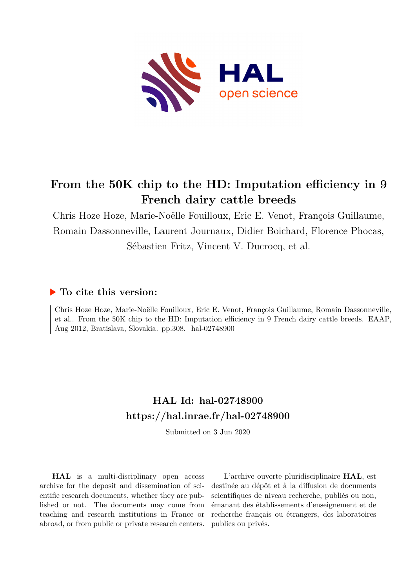

# **From the 50K chip to the HD: Imputation efficiency in 9 French dairy cattle breeds**

Chris Hoze Hoze, Marie-Noëlle Fouilloux, Eric E. Venot, François Guillaume, Romain Dassonneville, Laurent Journaux, Didier Boichard, Florence Phocas, Sébastien Fritz, Vincent V. Ducrocq, et al.

### **To cite this version:**

Chris Hoze Hoze, Marie-Noëlle Fouilloux, Eric E. Venot, François Guillaume, Romain Dassonneville, et al.. From the 50K chip to the HD: Imputation efficiency in 9 French dairy cattle breeds. EAAP, Aug 2012, Bratislava, Slovakia. pp.308. hal-02748900

## **HAL Id: hal-02748900 <https://hal.inrae.fr/hal-02748900>**

Submitted on 3 Jun 2020

**HAL** is a multi-disciplinary open access archive for the deposit and dissemination of scientific research documents, whether they are published or not. The documents may come from teaching and research institutions in France or abroad, or from public or private research centers.

L'archive ouverte pluridisciplinaire **HAL**, est destinée au dépôt et à la diffusion de documents scientifiques de niveau recherche, publiés ou non, émanant des établissements d'enseignement et de recherche français ou étrangers, des laboratoires publics ou privés.